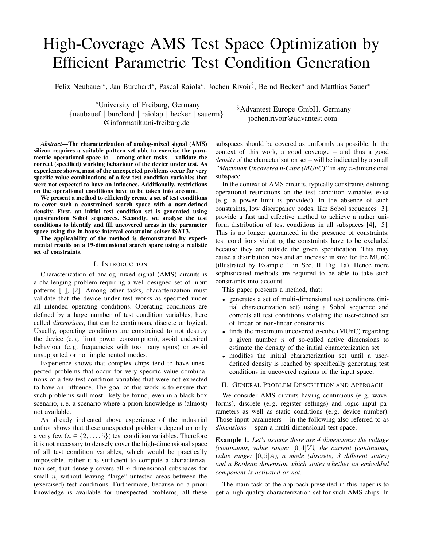# High-Coverage AMS Test Space Optimization by Efficient Parametric Test Condition Generation

Felix Neubauer<sup>∗</sup>, Jan Burchard<sup>∗</sup>, Pascal Raiola<sup>∗</sup>, Jochen Rivoir<sup>§</sup>, Bernd Becker<sup>∗</sup> and Matthias Sauer<sup>∗</sup>

<sup>∗</sup>University of Freiburg, Germany {neubauef | burchard | raiolap | becker | sauerm} @informatik.uni-freiburg.de

§Advantest Europe GmbH, Germany jochen.rivoir@advantest.com

*Abstract*—The characterization of analog-mixed signal (AMS) silicon requires a suitable pattern set able to exercise the parametric operational space to – among other tasks – validate the correct (specified) working behaviour of the device under test. As experience shows, most of the unexpected problems occur for very specific value combinations of a few test condition variables that were not expected to have an influence. Additionally, restrictions on the operational conditions have to be taken into account.

We present a method to efficiently create a set of test conditions to cover such a constrained search space with a user-defined density. First, an initial test condition set is generated using quasirandom Sobol sequences. Secondly, we analyse the test conditions to identify and fill uncovered areas in the parameter space using the in-house interval constraint solver iSAT3.

The applicability of the method is demonstrated by experimental results on a 19-dimensional search space using a realistic set of constraints.

#### I. INTRODUCTION

Characterization of analog-mixed signal (AMS) circuits is a challenging problem requiring a well-designed set of input patterns [1], [2]. Among other tasks, characterization must validate that the device under test works as specified under all intended operating conditions. Operating conditions are defined by a large number of test condition variables, here called *dimensions*, that can be continuous, discrete or logical. Usually, operating conditions are constrained to not destroy the device (e. g. limit power consumption), avoid undesired behaviour (e. g. frequencies with too many spurs) or avoid unsupported or not implemented modes.

Experience shows that complex chips tend to have unexpected problems that occur for very specific value combinations of a few test condition variables that were not expected to have an influence. The goal of this work is to ensure that such problems will most likely be found, even in a black-box scenario, i. e. a scenario where a priori knowledge is (almost) not available.

As already indicated above experience of the industrial author shows that these unexpected problems depend on only a very few  $(n \in \{2, \ldots, 5\})$  test condition variables. Therefore it is not necessary to densely cover the high-dimensional space of all test condition variables, which would be practically impossible, rather it is sufficient to compute a characterization set, that densely covers all *n*-dimensional subspaces for small  $n$ , without leaving "large" untested areas between the (exercised) test conditions. Furthermore, because no a-priori knowledge is available for unexpected problems, all these

subspaces should be covered as uniformly as possible. In the context of this work, a good coverage – and thus a good *density* of the characterization set – will be indicated by a small *"Maximum Uncovered n-Cube (MUnC)"* in any n-dimensional subspace.

In the context of AMS circuits, typically constraints defining operational restrictions on the test condition variables exist (e. g. a power limit is provided). In the absence of such constraints, low discrepancy codes, like Sobol sequences [3], provide a fast and effective method to achieve a rather uniform distribution of test conditions in all subspaces [4], [5]. This is no longer guaranteed in the presence of constraints: test conditions violating the constraints have to be excluded because they are outside the given specification. This may cause a distribution bias and an increase in size for the MUnC (illustrated by Example 1 in Sec. II, Fig. 1a). Hence more sophisticated methods are required to be able to take such constraints into account.

This paper presents a method, that:

- generates a set of multi-dimensional test conditions (initial characterization set) using a Sobol sequence and corrects all test conditions violating the user-defined set of linear or non-linear constraints
- finds the maximum uncovered *n*-cube (MUnC) regarding a given number  $n$  of so-called active dimensions to estimate the density of the initial characterization set
- modifies the initial characterization set until a userdefined density is reached by specifically generating test conditions in uncovered regions of the input space.

## II. GENERAL PROBLEM DESCRIPTION AND APPROACH

We consider AMS circuits having continuous (e. g. waveforms), discrete (e. g. register settings) and logic input parameters as well as static conditions (e. g. device number). Those input parameters – in the following also referred to as *dimensions* – span a multi-dimensional test space.

Example 1. *Let's assume there are 4 dimensions: the voltage (continuous, value range:* [0, 4]V *), the current (continuous, value range:* [0, 5]A*), a mode (discrete; 3 different states) and a Boolean dimension which states whether an embedded component is activated or not.*

The main task of the approach presented in this paper is to get a high quality characterization set for such AMS chips. In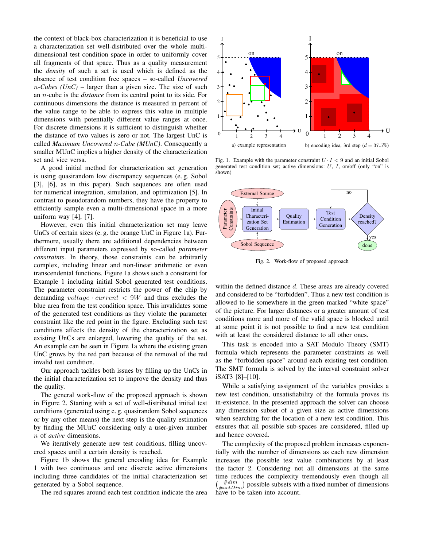the context of black-box characterization it is beneficial to use a characterization set well-distributed over the whole multidimensional test condition space in order to uniformly cover all fragments of that space. Thus as a quality measurement the *density* of such a set is used which is defined as the absence of test condition free spaces – so-called *Uncovered* n*-Cubes (UnC)* – larger than a given size. The size of such an n-cube is the *distance* from its central point to its side. For continuous dimensions the distance is measured in percent of the value range to be able to express this value in multiple dimensions with potentially different value ranges at once. For discrete dimensions it is sufficient to distinguish whether the distance of two values is zero or not. The largest UnC is called *Maximum Uncovered* n*-Cube (MUnC)*. Consequently a smaller MUnC implies a higher density of the characterization set and vice versa.

A good initial method for characterization set generation is using quasirandom low discrepancy sequences (e. g. Sobol [3], [6], as in this paper). Such sequences are often used for numerical integration, simulation, and optimization [5]. In contrast to pseudorandom numbers, they have the property to efficiently sample even a multi-dimensional space in a more uniform way  $[4]$ ,  $[7]$ .

However, even this initial characterization set may leave UnCs of certain sizes (e. g. the orange UnC in Figure 1a). Furthermore, usually there are additional dependencies between different input parameters expressed by so-called *parameter constraints*. In theory, those constraints can be arbitrarily complex, including linear and non-linear arithmetic or even transcendental functions. Figure 1a shows such a constraint for Example 1 including initial Sobol generated test conditions. The parameter constraint restricts the power of the chip by demanding  $voltage \cdot current < 9W$  and thus excludes the blue area from the test condition space. This invalidates some of the generated test conditions as they violate the parameter constraint like the red point in the figure. Excluding such test conditions affects the density of the characterization set as existing UnCs are enlarged, lowering the quality of the set. An example can be seen in Figure 1a where the existing green UnC grows by the red part because of the removal of the red invalid test condition.

Our approach tackles both issues by filling up the UnCs in the initial characterization set to improve the density and thus the quality.

The general work-flow of the proposed approach is shown in Figure 2. Starting with a set of well-distributed initial test conditions (generated using e. g. quasirandom Sobol sequences or by any other means) the next step is the quality estimation by finding the MUnC considering only a user-given number n of *active* dimensions.

We iteratively generate new test conditions, filling uncovered spaces until a certain density is reached.

Figure 1b shows the general encoding idea for Example 1 with two continuous and one discrete active dimensions including three candidates of the initial characterization set generated by a Sobol sequence.

The red squares around each test condition indicate the area



Fig. 1. Example with the parameter constraint  $U \cdot I < 9$  and an initial Sobol generated test condition set; active dimensions:  $U$ ,  $I$ , on/off (only "on" is shown)



Fig. 2. Work-flow of proposed approach

within the defined distance  $d$ . These areas are already covered and considered to be "forbidden". Thus a new test condition is allowed to lie somewhere in the green marked "white space" of the picture. For larger distances or a greater amount of test conditions more and more of the valid space is blocked until at some point it is not possible to find a new test condition with at least the considered distance to all other ones.

This task is encoded into a SAT Modulo Theory (SMT) formula which represents the parameter constraints as well as the "forbidden space" around each existing test condition. The SMT formula is solved by the interval constraint solver iSAT3 [8]–[10].

While a satisfying assignment of the variables provides a new test condition, unsatisfiability of the formula proves its in-existence. In the presented approach the solver can choose any dimension subset of a given size as active dimensions when searching for the location of a new test condition. This ensures that all possible sub-spaces are considered, filled up and hence covered.

The complexity of the proposed problem increases exponentially with the number of dimensions as each new dimension increases the possible test value combinations by at least the factor 2. Considering not all dimensions at the same time reduces the complexity tremendously even though all  $\left(\frac{\#dim}{\#actDim}\right)$  possible subsets with a fixed number of dimensions have to be taken into account.